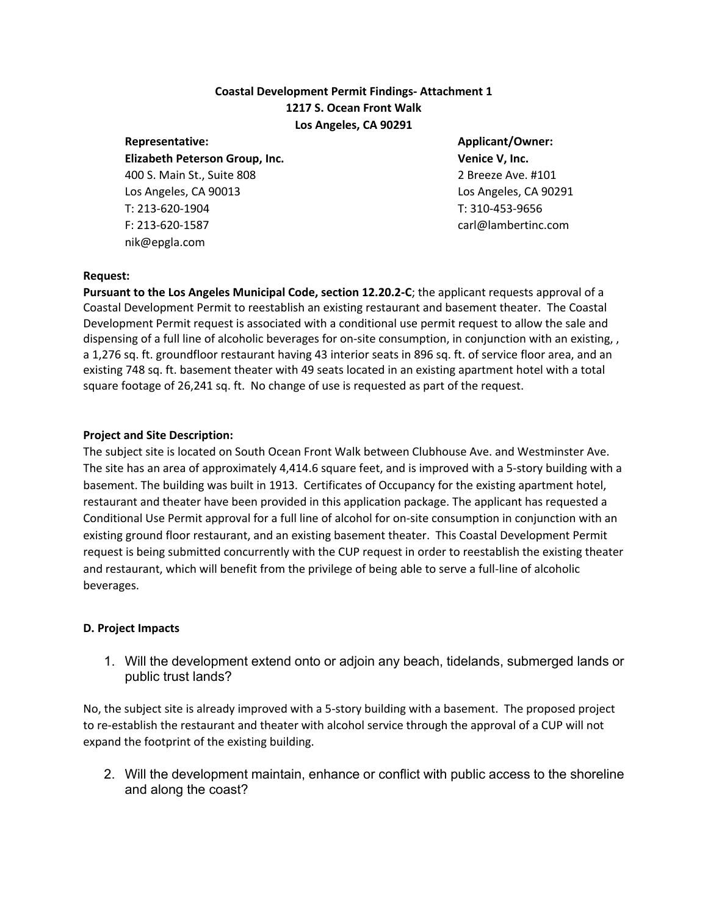# **Coastal Development Permit Findings- Attachment 1 1217 S. Ocean Front Walk Los Angeles, CA 90291**

**Elizabeth Peterson Group, Inc. Venice V, Inc.** 400 S. Main St., Suite 808 2 Breeze Ave. #101 Los Angeles, CA 90013 Los Angeles, CA 90291 T: 213-620-1904 T: 310-453-9656 F: 213-620-1587 carl@lambertinc.com nik@epgla.com

# **Representative: Applicant/Owner:**

#### **Request:**

**Pursuant to the Los Angeles Municipal Code, section 12.20.2-C**; the applicant requests approval of a Coastal Development Permit to reestablish an existing restaurant and basement theater. The Coastal Development Permit request is associated with a conditional use permit request to allow the sale and dispensing of a full line of alcoholic beverages for on-site consumption, in conjunction with an existing, , a 1,276 sq. ft. groundfloor restaurant having 43 interior seats in 896 sq. ft. of service floor area, and an existing 748 sq. ft. basement theater with 49 seats located in an existing apartment hotel with a total square footage of 26,241 sq. ft. No change of use is requested as part of the request.

### **Project and Site Description:**

The subject site is located on South Ocean Front Walk between Clubhouse Ave. and Westminster Ave. The site has an area of approximately 4,414.6 square feet, and is improved with a 5-story building with a basement. The building was built in 1913. Certificates of Occupancy for the existing apartment hotel, restaurant and theater have been provided in this application package. The applicant has requested a Conditional Use Permit approval for a full line of alcohol for on-site consumption in conjunction with an existing ground floor restaurant, and an existing basement theater. This Coastal Development Permit request is being submitted concurrently with the CUP request in order to reestablish the existing theater and restaurant, which will benefit from the privilege of being able to serve a full-line of alcoholic beverages.

#### **D. Project Impacts**

1. Will the development extend onto or adjoin any beach, tidelands, submerged lands or public trust lands?

No, the subject site is already improved with a 5-story building with a basement. The proposed project to re-establish the restaurant and theater with alcohol service through the approval of a CUP will not expand the footprint of the existing building.

2. Will the development maintain, enhance or conflict with public access to the shoreline and along the coast?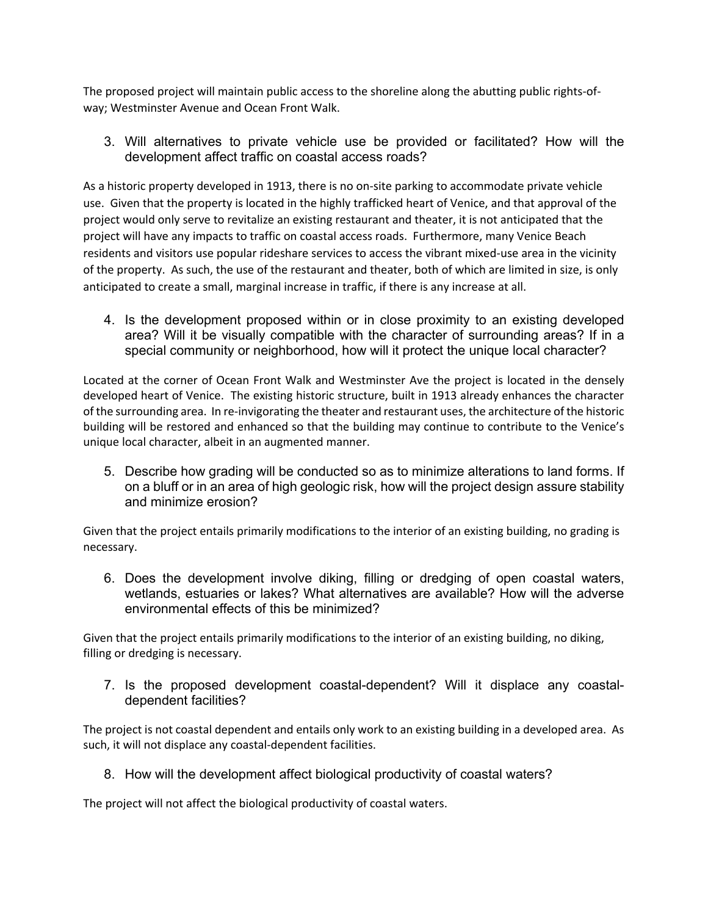The proposed project will maintain public access to the shoreline along the abutting public rights-ofway; Westminster Avenue and Ocean Front Walk.

3. Will alternatives to private vehicle use be provided or facilitated? How will the development affect traffic on coastal access roads?

As a historic property developed in 1913, there is no on-site parking to accommodate private vehicle use. Given that the property is located in the highly trafficked heart of Venice, and that approval of the project would only serve to revitalize an existing restaurant and theater, it is not anticipated that the project will have any impacts to traffic on coastal access roads. Furthermore, many Venice Beach residents and visitors use popular rideshare services to access the vibrant mixed-use area in the vicinity of the property. As such, the use of the restaurant and theater, both of which are limited in size, is only anticipated to create a small, marginal increase in traffic, if there is any increase at all.

4. Is the development proposed within or in close proximity to an existing developed area? Will it be visually compatible with the character of surrounding areas? If in a special community or neighborhood, how will it protect the unique local character?

Located at the corner of Ocean Front Walk and Westminster Ave the project is located in the densely developed heart of Venice. The existing historic structure, built in 1913 already enhances the character of the surrounding area. In re-invigorating the theater and restaurant uses, the architecture of the historic building will be restored and enhanced so that the building may continue to contribute to the Venice's unique local character, albeit in an augmented manner.

5. Describe how grading will be conducted so as to minimize alterations to land forms. If on a bluff or in an area of high geologic risk, how will the project design assure stability and minimize erosion?

Given that the project entails primarily modifications to the interior of an existing building, no grading is necessary.

6. Does the development involve diking, filling or dredging of open coastal waters, wetlands, estuaries or lakes? What alternatives are available? How will the adverse environmental effects of this be minimized?

Given that the project entails primarily modifications to the interior of an existing building, no diking, filling or dredging is necessary.

7. Is the proposed development coastal-dependent? Will it displace any coastaldependent facilities?

The project is not coastal dependent and entails only work to an existing building in a developed area. As such, it will not displace any coastal-dependent facilities.

8. How will the development affect biological productivity of coastal waters?

The project will not affect the biological productivity of coastal waters.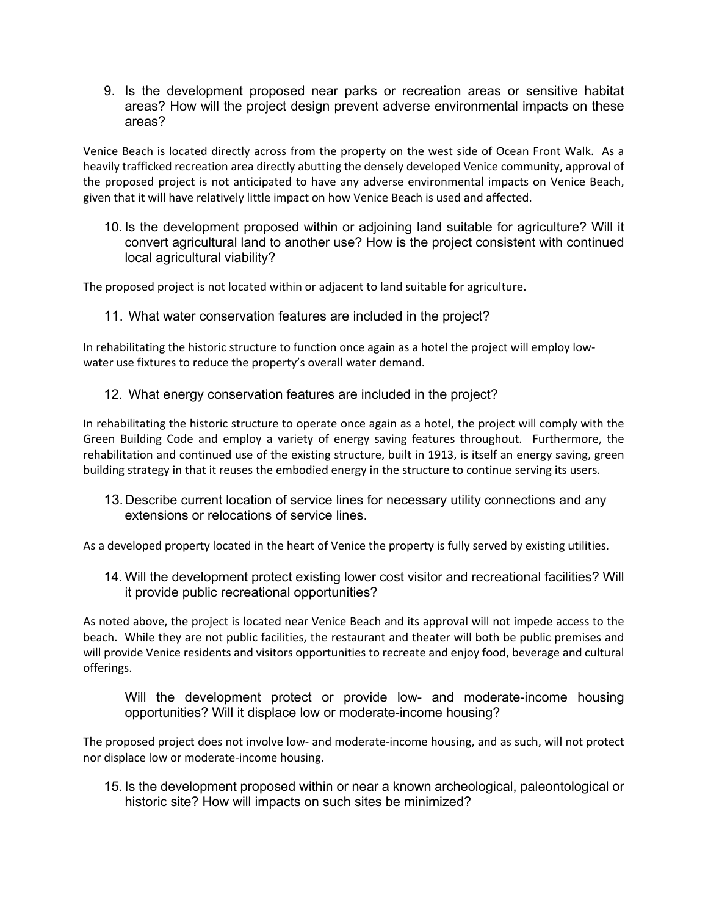9. Is the development proposed near parks or recreation areas or sensitive habitat areas? How will the project design prevent adverse environmental impacts on these areas?

Venice Beach is located directly across from the property on the west side of Ocean Front Walk. As a heavily trafficked recreation area directly abutting the densely developed Venice community, approval of the proposed project is not anticipated to have any adverse environmental impacts on Venice Beach, given that it will have relatively little impact on how Venice Beach is used and affected.

10. Is the development proposed within or adjoining land suitable for agriculture? Will it convert agricultural land to another use? How is the project consistent with continued local agricultural viability?

The proposed project is not located within or adjacent to land suitable for agriculture.

11. What water conservation features are included in the project?

In rehabilitating the historic structure to function once again as a hotel the project will employ lowwater use fixtures to reduce the property's overall water demand.

12. What energy conservation features are included in the project?

In rehabilitating the historic structure to operate once again as a hotel, the project will comply with the Green Building Code and employ a variety of energy saving features throughout. Furthermore, the rehabilitation and continued use of the existing structure, built in 1913, is itself an energy saving, green building strategy in that it reuses the embodied energy in the structure to continue serving its users.

13.Describe current location of service lines for necessary utility connections and any extensions or relocations of service lines.

As a developed property located in the heart of Venice the property is fully served by existing utilities.

14. Will the development protect existing lower cost visitor and recreational facilities? Will it provide public recreational opportunities?

As noted above, the project is located near Venice Beach and its approval will not impede access to the beach. While they are not public facilities, the restaurant and theater will both be public premises and will provide Venice residents and visitors opportunities to recreate and enjoy food, beverage and cultural offerings.

Will the development protect or provide low- and moderate-income housing opportunities? Will it displace low or moderate-income housing?

The proposed project does not involve low- and moderate-income housing, and as such, will not protect nor displace low or moderate-income housing.

15. Is the development proposed within or near a known archeological, paleontological or historic site? How will impacts on such sites be minimized?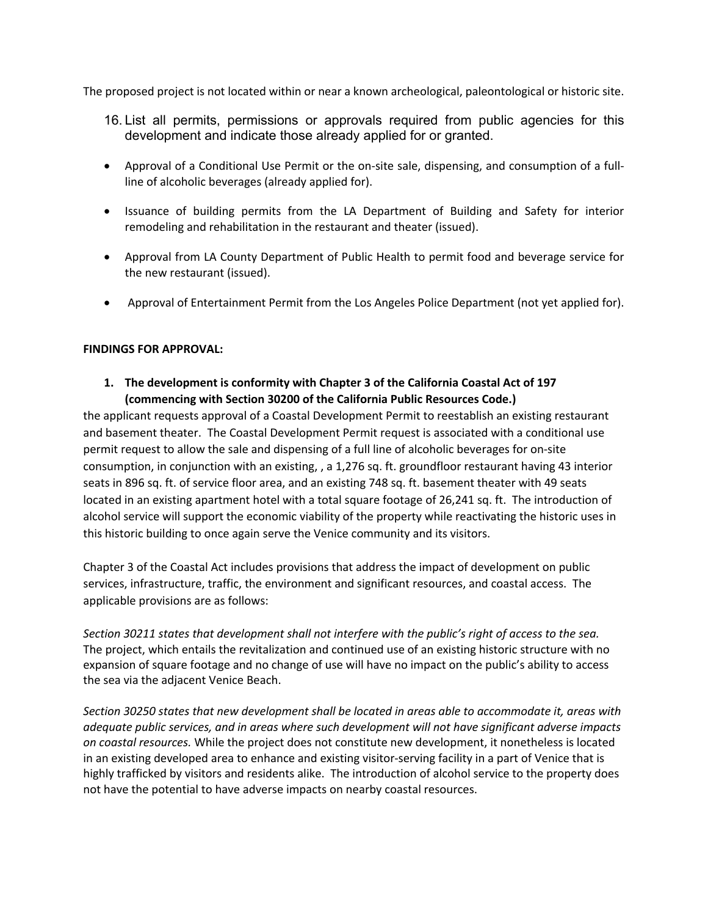The proposed project is not located within or near a known archeological, paleontological or historic site.

- 16. List all permits, permissions or approvals required from public agencies for this development and indicate those already applied for or granted.
- Approval of a Conditional Use Permit or the on-site sale, dispensing, and consumption of a fullline of alcoholic beverages (already applied for).
- Issuance of building permits from the LA Department of Building and Safety for interior remodeling and rehabilitation in the restaurant and theater (issued).
- Approval from LA County Department of Public Health to permit food and beverage service for the new restaurant (issued).
- Approval of Entertainment Permit from the Los Angeles Police Department (not yet applied for).

### **FINDINGS FOR APPROVAL:**

**1. The development is conformity with Chapter 3 of the California Coastal Act of 197 (commencing with Section 30200 of the California Public Resources Code.)**

the applicant requests approval of a Coastal Development Permit to reestablish an existing restaurant and basement theater. The Coastal Development Permit request is associated with a conditional use permit request to allow the sale and dispensing of a full line of alcoholic beverages for on-site consumption, in conjunction with an existing, , a 1,276 sq. ft. groundfloor restaurant having 43 interior seats in 896 sq. ft. of service floor area, and an existing 748 sq. ft. basement theater with 49 seats located in an existing apartment hotel with a total square footage of 26,241 sq. ft. The introduction of alcohol service will support the economic viability of the property while reactivating the historic uses in this historic building to once again serve the Venice community and its visitors.

Chapter 3 of the Coastal Act includes provisions that address the impact of development on public services, infrastructure, traffic, the environment and significant resources, and coastal access. The applicable provisions are as follows:

*Section 30211 states that development shall not interfere with the public's right of access to the sea.* The project, which entails the revitalization and continued use of an existing historic structure with no expansion of square footage and no change of use will have no impact on the public's ability to access the sea via the adjacent Venice Beach.

*Section 30250 states that new development shall be located in areas able to accommodate it, areas with adequate public services, and in areas where such development will not have significant adverse impacts on coastal resources.* While the project does not constitute new development, it nonetheless is located in an existing developed area to enhance and existing visitor-serving facility in a part of Venice that is highly trafficked by visitors and residents alike. The introduction of alcohol service to the property does not have the potential to have adverse impacts on nearby coastal resources.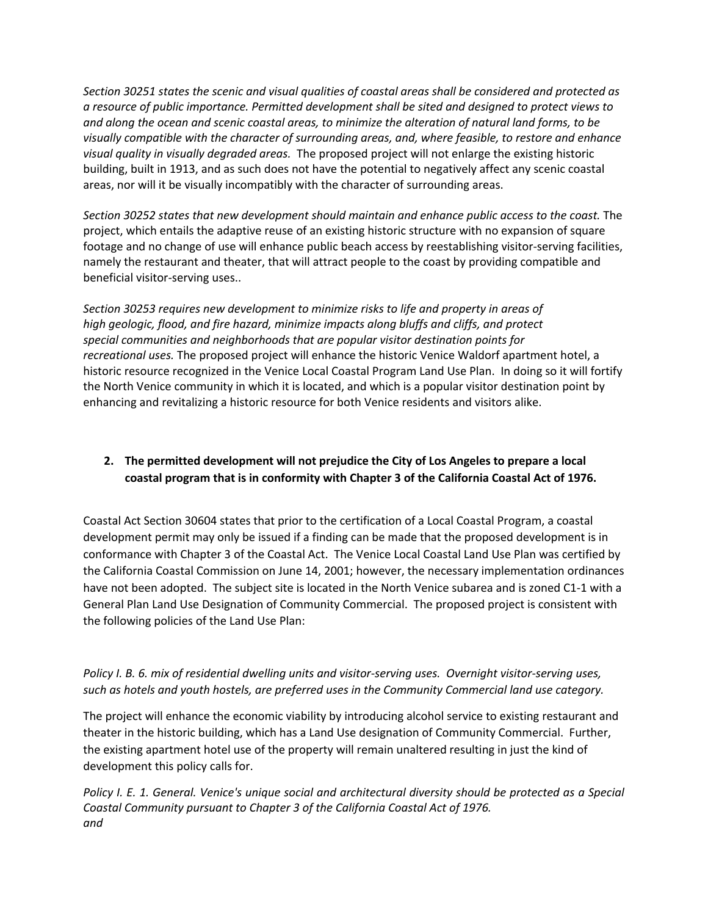*Section 30251 states the scenic and visual qualities of coastal areas shall be considered and protected as a resource of public importance. Permitted development shall be sited and designed to protect views to and along the ocean and scenic coastal areas, to minimize the alteration of natural land forms, to be visually compatible with the character of surrounding areas, and, where feasible, to restore and enhance visual quality in visually degraded areas.* The proposed project will not enlarge the existing historic building, built in 1913, and as such does not have the potential to negatively affect any scenic coastal areas, nor will it be visually incompatibly with the character of surrounding areas.

Section 30252 states that new development should maintain and enhance public access to the coast. The project, which entails the adaptive reuse of an existing historic structure with no expansion of square footage and no change of use will enhance public beach access by reestablishing visitor-serving facilities, namely the restaurant and theater, that will attract people to the coast by providing compatible and beneficial visitor-serving uses..

*Section 30253 requires new development to minimize risks to life and property in areas of high geologic, flood, and fire hazard, minimize impacts along bluffs and cliffs, and protect special communities and neighborhoods that are popular visitor destination points for recreational uses.* The proposed project will enhance the historic Venice Waldorf apartment hotel, a historic resource recognized in the Venice Local Coastal Program Land Use Plan. In doing so it will fortify the North Venice community in which it is located, and which is a popular visitor destination point by enhancing and revitalizing a historic resource for both Venice residents and visitors alike.

# **2. The permitted development will not prejudice the City of Los Angeles to prepare a local coastal program that is in conformity with Chapter 3 of the California Coastal Act of 1976.**

Coastal Act Section 30604 states that prior to the certification of a Local Coastal Program, a coastal development permit may only be issued if a finding can be made that the proposed development is in conformance with Chapter 3 of the Coastal Act. The Venice Local Coastal Land Use Plan was certified by the California Coastal Commission on June 14, 2001; however, the necessary implementation ordinances have not been adopted. The subject site is located in the North Venice subarea and is zoned C1-1 with a General Plan Land Use Designation of Community Commercial. The proposed project is consistent with the following policies of the Land Use Plan:

*Policy I. B. 6. mix of residential dwelling units and visitor-serving uses. Overnight visitor-serving uses, such as hotels and youth hostels, are preferred uses in the Community Commercial land use category.*

The project will enhance the economic viability by introducing alcohol service to existing restaurant and theater in the historic building, which has a Land Use designation of Community Commercial. Further, the existing apartment hotel use of the property will remain unaltered resulting in just the kind of development this policy calls for.

*Policy I. E. 1. General. Venice's unique social and architectural diversity should be protected as a Special Coastal Community pursuant to Chapter 3 of the California Coastal Act of 1976. and*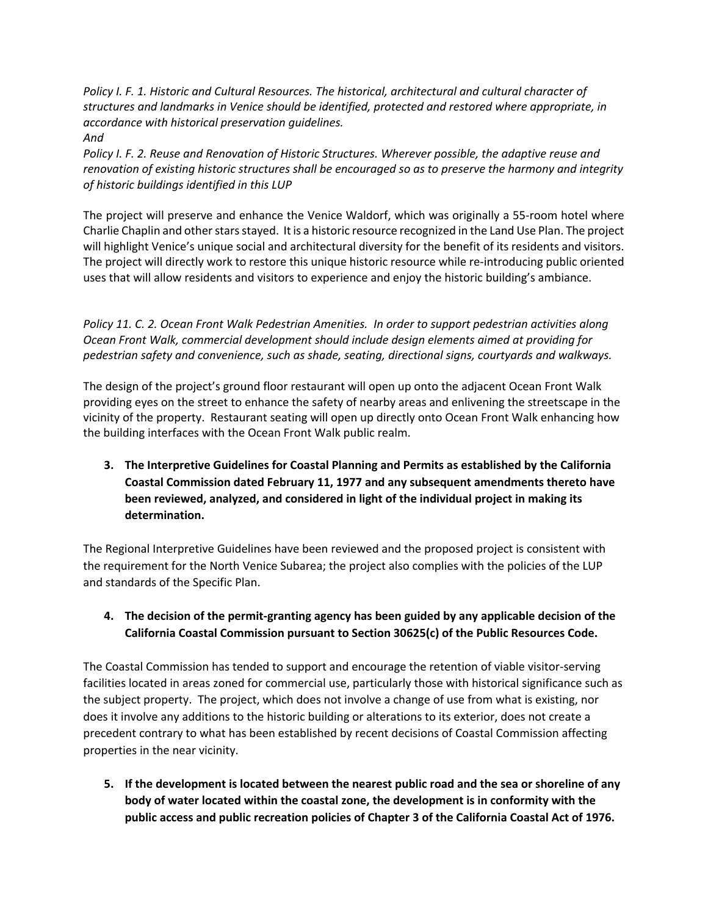*Policy I. F. 1. Historic and Cultural Resources. The historical, architectural and cultural character of structures and landmarks in Venice should be identified, protected and restored where appropriate, in accordance with historical preservation guidelines. And*

*Policy I. F. 2. Reuse and Renovation of Historic Structures. Wherever possible, the adaptive reuse and renovation of existing historic structures shall be encouraged so as to preserve the harmony and integrity of historic buildings identified in this LUP*

The project will preserve and enhance the Venice Waldorf, which was originally a 55-room hotel where Charlie Chaplin and other stars stayed. It is a historic resource recognized in the Land Use Plan. The project will highlight Venice's unique social and architectural diversity for the benefit of its residents and visitors. The project will directly work to restore this unique historic resource while re-introducing public oriented uses that will allow residents and visitors to experience and enjoy the historic building's ambiance.

*Policy 11. C. 2. Ocean Front Walk Pedestrian Amenities. In order to support pedestrian activities along Ocean Front Walk, commercial development should include design elements aimed at providing for pedestrian safety and convenience, such as shade, seating, directional signs, courtyards and walkways.*

The design of the project's ground floor restaurant will open up onto the adjacent Ocean Front Walk providing eyes on the street to enhance the safety of nearby areas and enlivening the streetscape in the vicinity of the property. Restaurant seating will open up directly onto Ocean Front Walk enhancing how the building interfaces with the Ocean Front Walk public realm.

**3. The Interpretive Guidelines for Coastal Planning and Permits as established by the California Coastal Commission dated February 11, 1977 and any subsequent amendments thereto have been reviewed, analyzed, and considered in light of the individual project in making its determination.**

The Regional Interpretive Guidelines have been reviewed and the proposed project is consistent with the requirement for the North Venice Subarea; the project also complies with the policies of the LUP and standards of the Specific Plan.

# **4. The decision of the permit-granting agency has been guided by any applicable decision of the California Coastal Commission pursuant to Section 30625(c) of the Public Resources Code.**

The Coastal Commission has tended to support and encourage the retention of viable visitor-serving facilities located in areas zoned for commercial use, particularly those with historical significance such as the subject property. The project, which does not involve a change of use from what is existing, nor does it involve any additions to the historic building or alterations to its exterior, does not create a precedent contrary to what has been established by recent decisions of Coastal Commission affecting properties in the near vicinity.

**5. If the development is located between the nearest public road and the sea or shoreline of any body of water located within the coastal zone, the development is in conformity with the public access and public recreation policies of Chapter 3 of the California Coastal Act of 1976.**